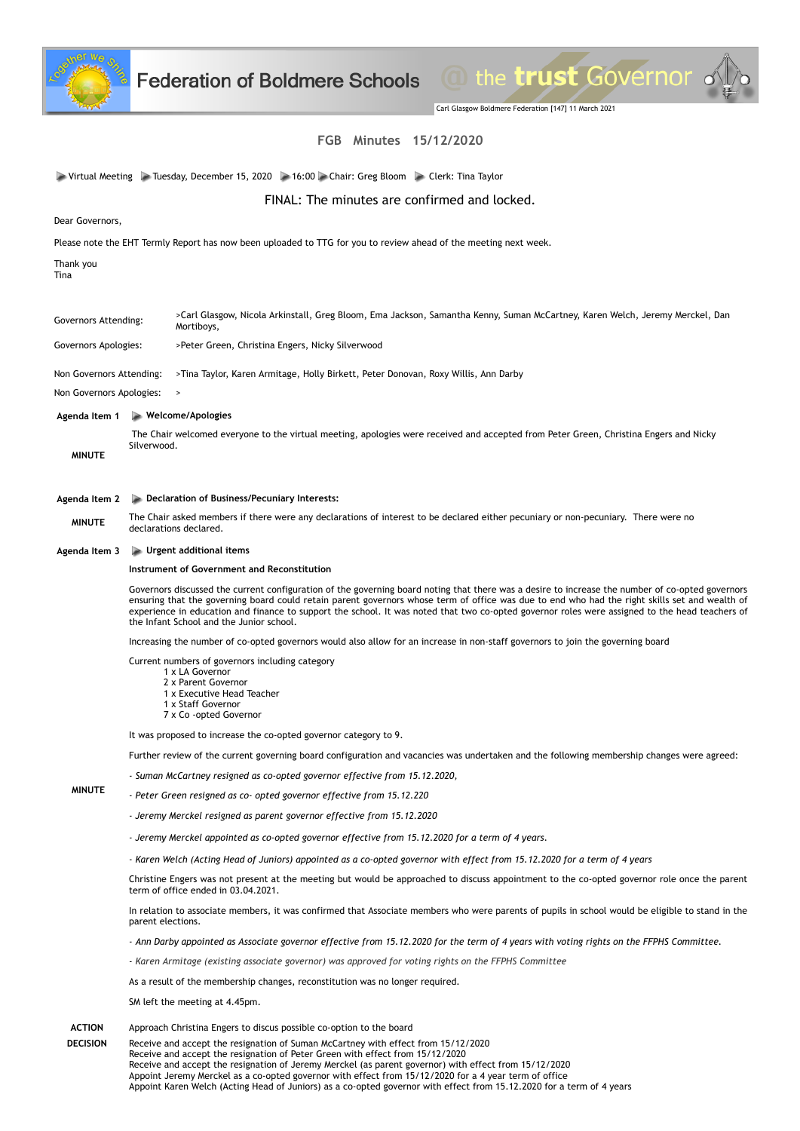

Carl Glasgow Boldmere Federation [147] 11 March 2021

O the trust Governor of

# **FGB Minutes 15/12/2020**

|                                                                                                                  | FGB Minutes 15/12/2020                                                                                                                                                                                                                                                                                                                                                                                                                                                                           |  |  |  |  |
|------------------------------------------------------------------------------------------------------------------|--------------------------------------------------------------------------------------------------------------------------------------------------------------------------------------------------------------------------------------------------------------------------------------------------------------------------------------------------------------------------------------------------------------------------------------------------------------------------------------------------|--|--|--|--|
|                                                                                                                  | Virtual Meeting Na Tuesday, December 15, 2020 16:00 Chair: Greg Bloom Na Clerk: Tina Taylor                                                                                                                                                                                                                                                                                                                                                                                                      |  |  |  |  |
| FINAL: The minutes are confirmed and locked.                                                                     |                                                                                                                                                                                                                                                                                                                                                                                                                                                                                                  |  |  |  |  |
| Dear Governors,                                                                                                  |                                                                                                                                                                                                                                                                                                                                                                                                                                                                                                  |  |  |  |  |
| Please note the EHT Termly Report has now been uploaded to TTG for you to review ahead of the meeting next week. |                                                                                                                                                                                                                                                                                                                                                                                                                                                                                                  |  |  |  |  |
| Thank you<br>Tina                                                                                                |                                                                                                                                                                                                                                                                                                                                                                                                                                                                                                  |  |  |  |  |
| Governors Attending:                                                                                             | >Carl Glasgow, Nicola Arkinstall, Greg Bloom, Ema Jackson, Samantha Kenny, Suman McCartney, Karen Welch, Jeremy Merckel, Dan<br>Mortiboys,                                                                                                                                                                                                                                                                                                                                                       |  |  |  |  |
| Governors Apologies:                                                                                             | >Peter Green, Christina Engers, Nicky Silverwood                                                                                                                                                                                                                                                                                                                                                                                                                                                 |  |  |  |  |
| Non Governors Attending:                                                                                         | >Tina Taylor, Karen Armitage, Holly Birkett, Peter Donovan, Roxy Willis, Ann Darby                                                                                                                                                                                                                                                                                                                                                                                                               |  |  |  |  |
| Non Governors Apologies:                                                                                         | $\,>\,$                                                                                                                                                                                                                                                                                                                                                                                                                                                                                          |  |  |  |  |
| $\blacktriangleright$ Welcome/Apologies<br>Agenda Item 1                                                         |                                                                                                                                                                                                                                                                                                                                                                                                                                                                                                  |  |  |  |  |
| <b>MINUTE</b>                                                                                                    | The Chair welcomed everyone to the virtual meeting, apologies were received and accepted from Peter Green, Christina Engers and Nicky<br>Silverwood.                                                                                                                                                                                                                                                                                                                                             |  |  |  |  |
| Agenda Item 2                                                                                                    | Declaration of Business/Pecuniary Interests:                                                                                                                                                                                                                                                                                                                                                                                                                                                     |  |  |  |  |
| <b>MINUTE</b>                                                                                                    | The Chair asked members if there were any declarations of interest to be declared either pecuniary or non-pecuniary. There were no<br>declarations declared.                                                                                                                                                                                                                                                                                                                                     |  |  |  |  |
| Agenda Item 3                                                                                                    | $\blacktriangleright$ Urgent additional items                                                                                                                                                                                                                                                                                                                                                                                                                                                    |  |  |  |  |
|                                                                                                                  | Instrument of Government and Reconstitution                                                                                                                                                                                                                                                                                                                                                                                                                                                      |  |  |  |  |
|                                                                                                                  | Governors discussed the current configuration of the governing board noting that there was a desire to increase the number of co-opted governors<br>ensuring that the governing board could retain parent governors whose term of office was due to end who had the right skills set and wealth of<br>experience in education and finance to support the school. It was noted that two co-opted governor roles were assigned to the head teachers of<br>the Infant School and the Junior school. |  |  |  |  |
|                                                                                                                  | Increasing the number of co-opted governors would also allow for an increase in non-staff governors to join the governing board                                                                                                                                                                                                                                                                                                                                                                  |  |  |  |  |
|                                                                                                                  | Current numbers of governors including category<br>1 x LA Governor<br>2 x Parent Governor<br>1 x Executive Head Teacher<br>1 x Staff Governor<br>7 x Co -opted Governor                                                                                                                                                                                                                                                                                                                          |  |  |  |  |
|                                                                                                                  | It was proposed to increase the co-opted governor category to 9.                                                                                                                                                                                                                                                                                                                                                                                                                                 |  |  |  |  |
|                                                                                                                  | Further review of the current governing board configuration and vacancies was undertaken and the following membership changes were agreed:                                                                                                                                                                                                                                                                                                                                                       |  |  |  |  |
|                                                                                                                  | - Suman McCartney resigned as co-opted governor effective from 15.12.2020,                                                                                                                                                                                                                                                                                                                                                                                                                       |  |  |  |  |
| <b>MINUTE</b>                                                                                                    | - Peter Green resigned as co- opted governor effective from 15.12.220                                                                                                                                                                                                                                                                                                                                                                                                                            |  |  |  |  |
|                                                                                                                  | - Jeremy Merckel resigned as parent governor effective from 15.12.2020                                                                                                                                                                                                                                                                                                                                                                                                                           |  |  |  |  |
|                                                                                                                  | - Jeremy Merckel appointed as co-opted governor effective from 15.12.2020 for a term of 4 years.                                                                                                                                                                                                                                                                                                                                                                                                 |  |  |  |  |
|                                                                                                                  | - Karen Welch (Acting Head of Juniors) appointed as a co-opted governor with effect from 15.12.2020 for a term of 4 years                                                                                                                                                                                                                                                                                                                                                                        |  |  |  |  |
|                                                                                                                  | Christine Engers was not present at the meeting but would be approached to discuss appointment to the co-opted governor role once the parent<br>term of office ended in 03.04.2021.                                                                                                                                                                                                                                                                                                              |  |  |  |  |
|                                                                                                                  | In relation to associate members, it was confirmed that Associate members who were parents of pupils in school would be eligible to stand in the<br>parent elections.                                                                                                                                                                                                                                                                                                                            |  |  |  |  |
|                                                                                                                  | - Ann Darby appointed as Associate governor effective from 15.12.2020 for the term of 4 years with voting rights on the FFPHS Committee.                                                                                                                                                                                                                                                                                                                                                         |  |  |  |  |
|                                                                                                                  | - Karen Armitage (existing associate governor) was approved for voting rights on the FFPHS Committee                                                                                                                                                                                                                                                                                                                                                                                             |  |  |  |  |
|                                                                                                                  | As a result of the membership changes, reconstitution was no longer required.                                                                                                                                                                                                                                                                                                                                                                                                                    |  |  |  |  |
|                                                                                                                  | SM left the meeting at 4.45pm.                                                                                                                                                                                                                                                                                                                                                                                                                                                                   |  |  |  |  |
| <b>ACTION</b>                                                                                                    | Approach Christina Engers to discus possible co-option to the board                                                                                                                                                                                                                                                                                                                                                                                                                              |  |  |  |  |

**DECISION**  Receive and accept the resignation of Suman McCartney with effect from 15/12/2020 Receive and accept the resignation of Peter Green with effect from 15/12/2020 Receive and accept the resignation of Jeremy Merckel (as parent governor) with effect from 15/12/2020 Appoint Jeremy Merckel as a co-opted governor with effect from 15/12/2020 for a 4 year term of office Appoint Karen Welch (Acting Head of Juniors) as a co-opted governor with effect from 15.12.2020 for a term of 4 years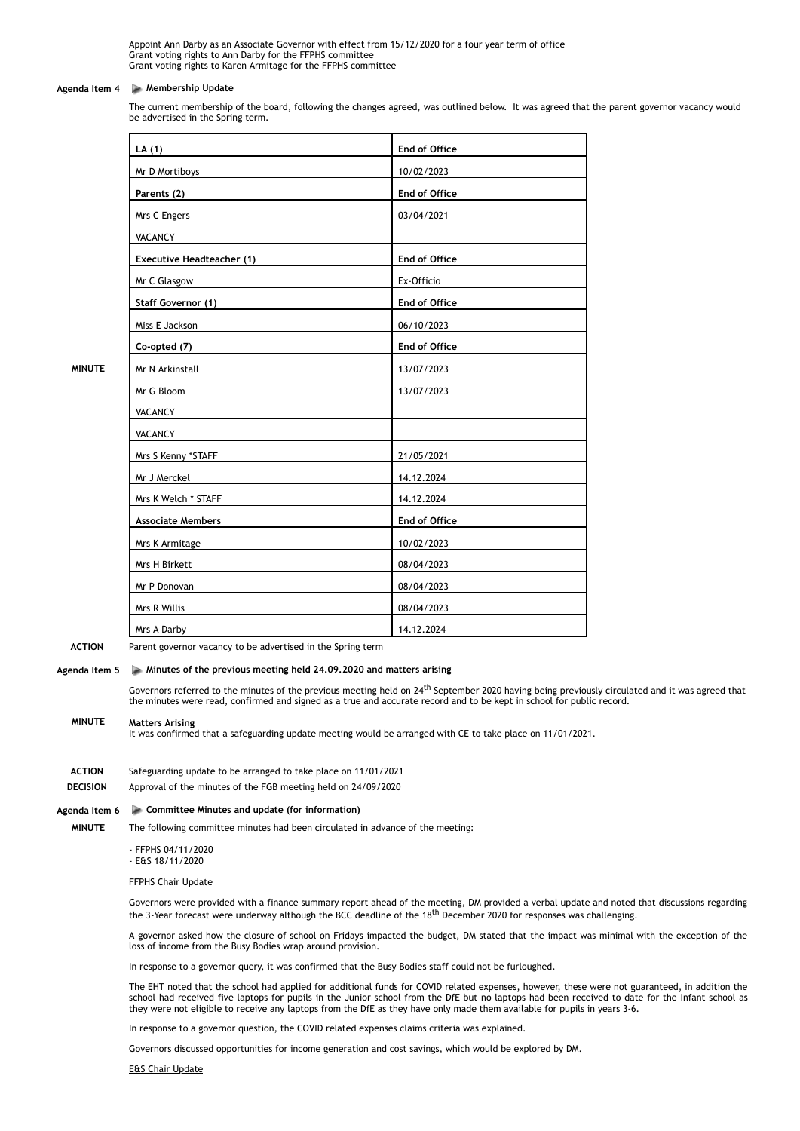Appoint Ann Darby as an Associate Governor with effect from 15/12/2020 for a four year term of office Grant voting rights to Ann Darby for the FFPHS committee Grant voting rights to Karen Armitage for the FFPHS committee

#### **Agenda Item 4 Membership Update**

The current membership of the board, following the changes agreed, was outlined below. It was agreed that the parent governor vacancy would be advertised in the Spring term.

| LA $(1)$                  | End of Office |
|---------------------------|---------------|
| Mr D Mortiboys            | 10/02/2023    |
| Parents (2)               | End of Office |
| Mrs C Engers              | 03/04/2021    |
| <b>VACANCY</b>            |               |
| Executive Headteacher (1) | End of Office |
| Mr C Glasgow              | Ex-Officio    |
| <b>Staff Governor (1)</b> | End of Office |
| Miss E Jackson            | 06/10/2023    |
| Co-opted (7)              | End of Office |
| Mr N Arkinstall           | 13/07/2023    |
| Mr G Bloom                | 13/07/2023    |
| <b>VACANCY</b>            |               |
| <b>VACANCY</b>            |               |
| Mrs S Kenny *STAFF        | 21/05/2021    |
| Mr J Merckel              | 14.12.2024    |
| Mrs K Welch * STAFF       | 14.12.2024    |
| <b>Associate Members</b>  | End of Office |
| Mrs K Armitage            | 10/02/2023    |
| Mrs H Birkett             | 08/04/2023    |
| Mr P Donovan              | 08/04/2023    |
| Mrs R Willis              | 08/04/2023    |
| Mrs A Darby               | 14.12.2024    |

**MINUTE**

**ACTION**  Parent governor vacancy to be advertised in the Spring term

# **Agenda Item 5 Minutes of the previous meeting held 24.09.2020 and matters arising**

Governors referred to the minutes of the previous meeting held on 24<sup>th</sup> September 2020 having being previously circulated and it was agreed that the minutes were read, confirmed and signed as a true and accurate record and to be kept in school for public record.

#### **MINUTE Matters Arising**

It was confirmed that a safeguarding update meeting would be arranged with CE to take place on 11/01/2021.

- **ACTION**  Safeguarding update to be arranged to take place on 11/01/2021
- **DECISION**  Approval of the minutes of the FGB meeting held on 24/09/2020

#### **Agenda Item 6 Committee Minutes and update (for information)**

**MINUTE** The following committee minutes had been circulated in advance of the meeting:

- FFPHS 04/11/2020
- E&S 18/11/2020

#### FFPHS Chair Update

Governors were provided with a finance summary report ahead of the meeting, DM provided a verbal update and noted that discussions regarding the 3-Year forecast were underway although the BCC deadline of the 18<sup>th</sup> December 2020 for responses was challenging.

A governor asked how the closure of school on Fridays impacted the budget, DM stated that the impact was minimal with the exception of the loss of income from the Busy Bodies wrap around provision.

In response to a governor query, it was confirmed that the Busy Bodies staff could not be furloughed.

The EHT noted that the school had applied for additional funds for COVID related expenses, however, these were not guaranteed, in addition the school had received five laptops for pupils in the Junior school from the DfE but no laptops had been received to date for the Infant school as they were not eligible to receive any laptops from the DfE as they have only made them available for pupils in years 3-6.

In response to a governor question, the COVID related expenses claims criteria was explained.

Governors discussed opportunities for income generation and cost savings, which would be explored by DM.

#### E&S Chair Update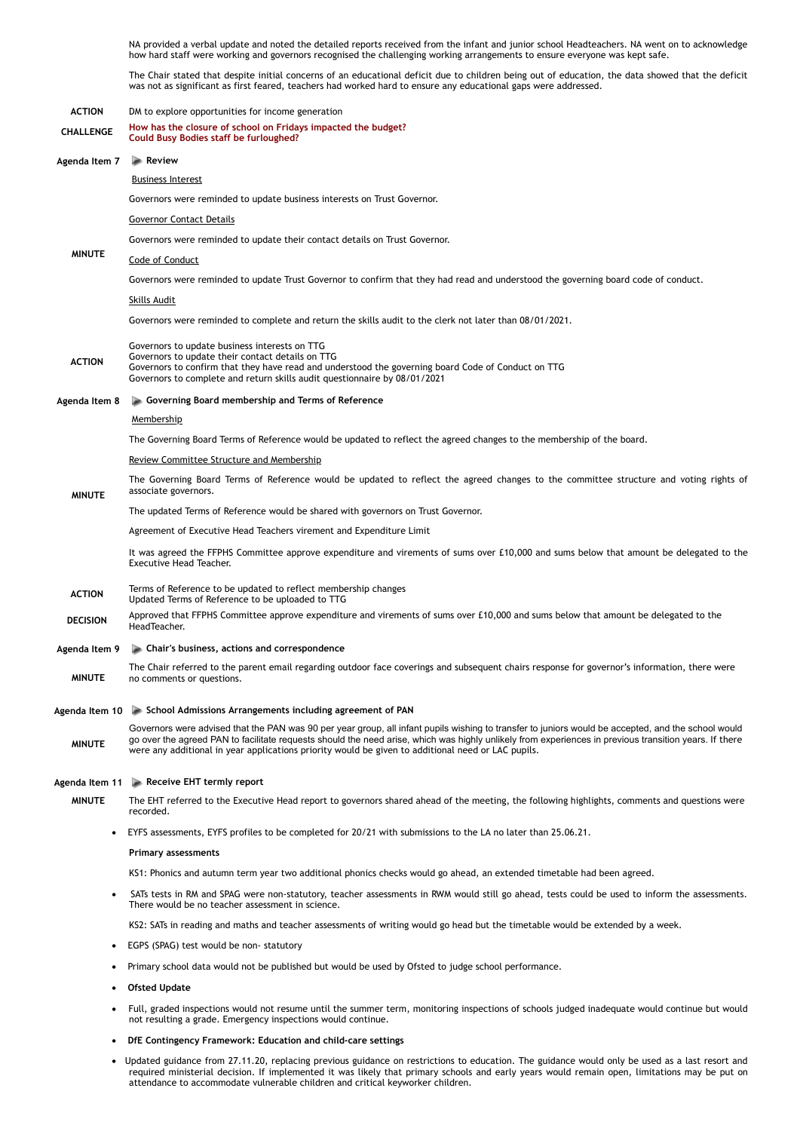NA provided a verbal update and noted the detailed reports received from the infant and junior school Headteachers. NA went on to acknowledge how hard staff were working and governors recognised the challenging working arrangements to ensure everyone was kept safe.

The Chair stated that despite initial concerns of an educational deficit due to children being out of education, the data showed that the deficit was not as significant as first feared, teachers had worked hard to ensure any educational gaps were addressed.

# **ACTION**  DM to explore opportunities for income generation **CHALLENGE How has the closure of school on Fridays impacted the budget? Could Busy Bodies staff be furloughed? Agenda Item 7 Review MINUTE** Business Interest Governors were reminded to update business interests on Trust Governor. Governor Contact Details Governors were reminded to update their contact details on Trust Governor. Code of Conduct Governors were reminded to update Trust Governor to confirm that they had read and understood the governing board code of conduct. Skills Audit Governors were reminded to complete and return the skills audit to the clerk not later than 08/01/2021. **ACTION**  Governors to update business interests on TTG Governors to update their contact details on TTG Governors to confirm that they have read and understood the governing board Code of Conduct on TTG Governors to complete and return skills audit questionnaire by 08/01/2021 **Agenda Item 8 Governing Board membership and Terms of Reference MINUTE** Membership The Governing Board Terms of Reference would be updated to reflect the agreed changes to the membership of the board. Review Committee Structure and Membership The Governing Board Terms of Reference would be updated to reflect the agreed changes to the committee structure and voting rights of associate governors. The updated Terms of Reference would be shared with governors on Trust Governor. Agreement of Executive Head Teachers virement and Expenditure Limit It was agreed the FFPHS Committee approve expenditure and virements of sums over £10,000 and sums below that amount be delegated to the Executive Head Teacher. **ACTION** Terms of Reference to be updated to reflect membership changes Updated Terms of Reference to be uploaded to TTG **DECISION** Approved that FFPHS Committee approve expenditure and virements of sums over £10,000 and sums below that amount be delegated to the HeadTeacher. **Agenda Item 9 Chair's business, actions and correspondence MINUTE** The Chair referred to the parent email regarding outdoor face coverings and subsequent chairs response for governor's information, there were no comments or questions. **Agenda Item 10 School Admissions Arrangements including agreement of PAN MINUTE** Governors were advised that the PAN was 90 per year group, all infant pupils wishing to transfer to juniors would be accepted, and the school would go over the agreed PAN to facilitate requests should the need arise, which was highly unlikely from experiences in previous transition years. If there were any additional in year applications priority would be given to additional need or LAC pupils. **Agenda Item 11 Receive EHT termly report MINUTE** The EHT referred to the Executive Head report to governors shared ahead of the meeting, the following highlights, comments and questions were recorded. · EYFS assessments, EYFS profiles to be completed for 20/21 with submissions to the LA no later than 25.06.21. **Primary assessments** KS1: Phonics and autumn term year two additional phonics checks would go ahead, an extended timetable had been agreed. SATs tests in RM and SPAG were non-statutory, teacher assessments in RWM would still go ahead, tests could be used to inform the assessments. There would be no teacher assessment in science. KS2: SATs in reading and maths and teacher assessments of writing would go head but the timetable would be extended by a week. · EGPS (SPAG) test would be non- statutory · Primary school data would not be published but would be used by Ofsted to judge school performance. · **Ofsted Update** Full, graded inspections would not resume until the summer term, monitoring inspections of schools judged inadequate would continue but would not resulting a grade. Emergency inspections would continue.

- · **DfE Contingency Framework: Education and child-care settings**
- Updated guidance from 27.11.20, replacing previous guidance on restrictions to education. The guidance would only be used as a last resort and required ministerial decision. If implemented it was likely that primary schools and early years would remain open, limitations may be put on attendance to accommodate vulnerable children and critical keyworker children.